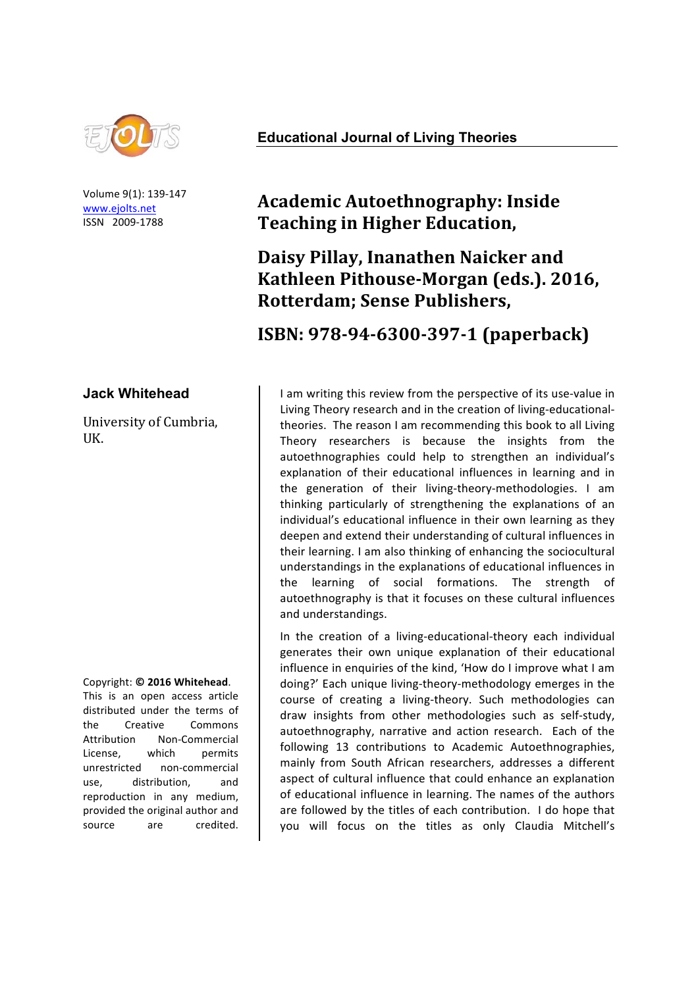

Volume 9(1): 139-147 www.ejolts.net ISSN 2009-1788

#### **Jack Whitehead**

University of Cumbria, UK.

#### Copyright: **© 2016 Whitehead**.

This is an open access article distributed under the terms of the Creative Commons Attribution Non-Commercial License. which permits unrestricted non-commercial use, distribution, and reproduction in any medium. provided the original author and source are credited.

#### **Educational Journal of Living Theories**

# **Academic Autoethnography: Inside Teaching in Higher Education,**

# **Daisy Pillay, Inanathen Naicker and** Kathleen Pithouse-Morgan (eds.). 2016, **Rotterdam; Sense Publishers,**

## **ISBN: 978-94-6300-397-1 (paperback)**

I am writing this review from the perspective of its use-value in Living Theory research and in the creation of living-educationaltheories. The reason I am recommending this book to all Living Theory researchers is because the insights from the autoethnographies could help to strengthen an individual's explanation of their educational influences in learning and in the generation of their living-theory-methodologies. I am thinking particularly of strengthening the explanations of an individual's educational influence in their own learning as they deepen and extend their understanding of cultural influences in their learning. I am also thinking of enhancing the sociocultural understandings in the explanations of educational influences in the learning of social formations. The strength of autoethnography is that it focuses on these cultural influences and understandings.

In the creation of a living-educational-theory each individual generates their own unique explanation of their educational influence in enquiries of the kind, 'How do I improve what I am doing?' Each unique living-theory-methodology emerges in the course of creating a living-theory. Such methodologies can draw insights from other methodologies such as self-study, autoethnography, narrative and action research. Each of the following 13 contributions to Academic Autoethnographies, mainly from South African researchers, addresses a different aspect of cultural influence that could enhance an explanation of educational influence in learning. The names of the authors are followed by the titles of each contribution. I do hope that you will focus on the titles as only Claudia Mitchell's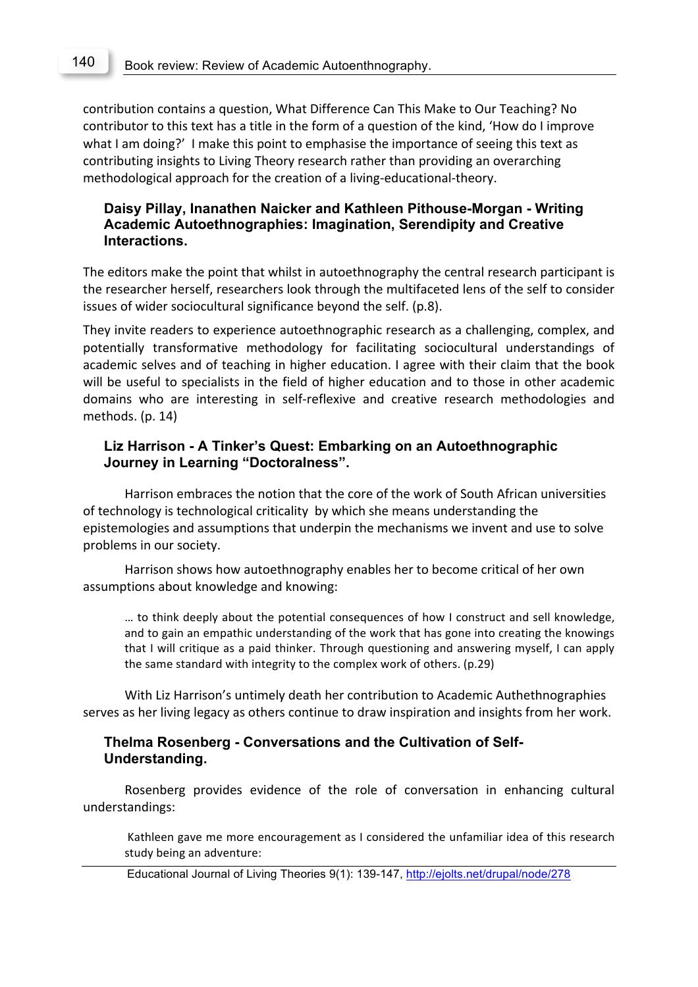contribution contains a question, What Difference Can This Make to Our Teaching? No contributor to this text has a title in the form of a question of the kind, 'How do I improve what I am doing?' I make this point to emphasise the importance of seeing this text as contributing insights to Living Theory research rather than providing an overarching methodological approach for the creation of a living-educational-theory.

## **Daisy Pillay, Inanathen Naicker and Kathleen Pithouse-Morgan - Writing Academic Autoethnographies: Imagination, Serendipity and Creative Interactions.**

The editors make the point that whilst in autoethnography the central research participant is the researcher herself, researchers look through the multifaceted lens of the self to consider issues of wider sociocultural significance beyond the self. (p.8).

They invite readers to experience autoethnographic research as a challenging, complex, and potentially transformative methodology for facilitating sociocultural understandings of academic selves and of teaching in higher education. I agree with their claim that the book will be useful to specialists in the field of higher education and to those in other academic domains who are interesting in self-reflexive and creative research methodologies and methods. (p. 14)

### **Liz Harrison - A Tinker's Quest: Embarking on an Autoethnographic Journey in Learning "Doctoralness".**

Harrison embraces the notion that the core of the work of South African universities of technology is technological criticality by which she means understanding the epistemologies and assumptions that underpin the mechanisms we invent and use to solve problems in our society.

Harrison shows how autoethnography enables her to become critical of her own assumptions about knowledge and knowing:

... to think deeply about the potential consequences of how I construct and sell knowledge, and to gain an empathic understanding of the work that has gone into creating the knowings that I will critique as a paid thinker. Through questioning and answering myself, I can apply the same standard with integrity to the complex work of others. (p.29)

With Liz Harrison's untimely death her contribution to Academic Authethnographies serves as her living legacy as others continue to draw inspiration and insights from her work.

## **Thelma Rosenberg - Conversations and the Cultivation of Self-Understanding.**

Rosenberg provides evidence of the role of conversation in enhancing cultural understandings:

Kathleen gave me more encouragement as I considered the unfamiliar idea of this research study being an adventure:

Educational Journal of Living Theories 9(1): 139-147, http://ejolts.net/drupal/node/278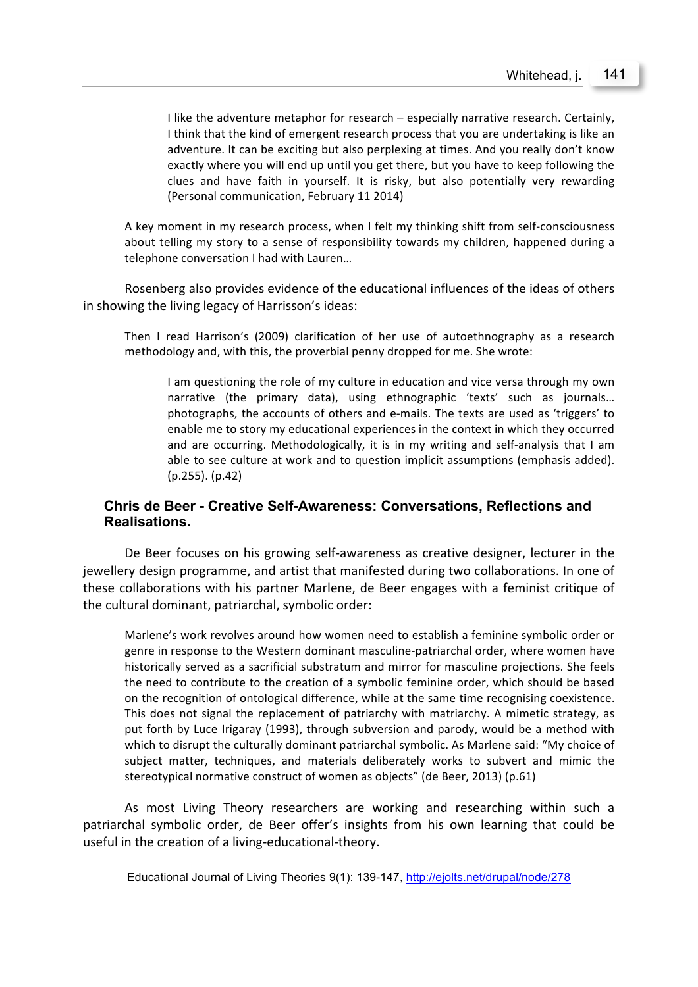I like the adventure metaphor for research – especially narrative research. Certainly, I think that the kind of emergent research process that you are undertaking is like an adventure. It can be exciting but also perplexing at times. And you really don't know exactly where you will end up until you get there, but you have to keep following the clues and have faith in yourself. It is risky, but also potentially very rewarding (Personal communication, February 11 2014)

A key moment in my research process, when I felt my thinking shift from self-consciousness about telling my story to a sense of responsibility towards my children, happened during a telephone conversation I had with Lauren...

Rosenberg also provides evidence of the educational influences of the ideas of others in showing the living legacy of Harrisson's ideas:

Then I read Harrison's (2009) clarification of her use of autoethnography as a research methodology and, with this, the proverbial penny dropped for me. She wrote:

I am questioning the role of my culture in education and vice versa through my own narrative (the primary data), using ethnographic 'texts' such as journals... photographs, the accounts of others and e-mails. The texts are used as 'triggers' to enable me to story my educational experiences in the context in which they occurred and are occurring. Methodologically, it is in my writing and self-analysis that I am able to see culture at work and to question implicit assumptions (emphasis added).  $(p.255)$ .  $(p.42)$ 

## **Chris de Beer - Creative Self-Awareness: Conversations, Reflections and Realisations.**

De Beer focuses on his growing self-awareness as creative designer, lecturer in the jewellery design programme, and artist that manifested during two collaborations. In one of these collaborations with his partner Marlene, de Beer engages with a feminist critique of the cultural dominant, patriarchal, symbolic order:

Marlene's work revolves around how women need to establish a feminine symbolic order or genre in response to the Western dominant masculine-patriarchal order, where women have historically served as a sacrificial substratum and mirror for masculine projections. She feels the need to contribute to the creation of a symbolic feminine order, which should be based on the recognition of ontological difference, while at the same time recognising coexistence. This does not signal the replacement of patriarchy with matriarchy. A mimetic strategy, as put forth by Luce Irigaray (1993), through subversion and parody, would be a method with which to disrupt the culturally dominant patriarchal symbolic. As Marlene said: "My choice of subject matter, techniques, and materials deliberately works to subvert and mimic the stereotypical normative construct of women as objects" (de Beer, 2013) (p.61)

As most Living Theory researchers are working and researching within such a patriarchal symbolic order, de Beer offer's insights from his own learning that could be useful in the creation of a living-educational-theory.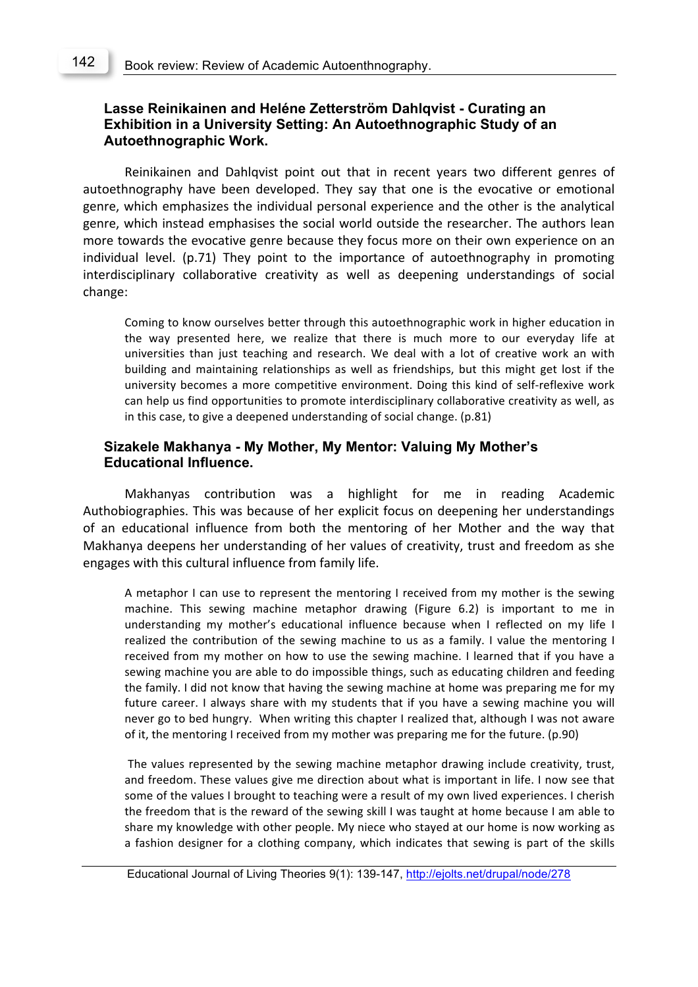## **Lasse Reinikainen and Heléne Zetterström Dahlqvist - Curating an Exhibition in a University Setting: An Autoethnographic Study of an Autoethnographic Work.**

Reinikainen and Dahlqvist point out that in recent years two different genres of autoethnography have been developed. They say that one is the evocative or emotional genre, which emphasizes the individual personal experience and the other is the analytical genre, which instead emphasises the social world outside the researcher. The authors lean more towards the evocative genre because they focus more on their own experience on an individual level. (p.71) They point to the importance of autoethnography in promoting interdisciplinary collaborative creativity as well as deepening understandings of social change:

Coming to know ourselves better through this autoethnographic work in higher education in the way presented here, we realize that there is much more to our everyday life at universities than just teaching and research. We deal with a lot of creative work an with building and maintaining relationships as well as friendships, but this might get lost if the university becomes a more competitive environment. Doing this kind of self-reflexive work can help us find opportunities to promote interdisciplinary collaborative creativity as well, as in this case, to give a deepened understanding of social change. (p.81)

#### **Sizakele Makhanya - My Mother, My Mentor: Valuing My Mother's Educational Influence.**

Makhanyas contribution was a highlight for me in reading Academic Authobiographies. This was because of her explicit focus on deepening her understandings of an educational influence from both the mentoring of her Mother and the way that Makhanya deepens her understanding of her values of creativity, trust and freedom as she engages with this cultural influence from family life.

A metaphor I can use to represent the mentoring I received from my mother is the sewing machine. This sewing machine metaphor drawing (Figure 6.2) is important to me in understanding my mother's educational influence because when I reflected on my life I realized the contribution of the sewing machine to us as a family. I value the mentoring I received from my mother on how to use the sewing machine. I learned that if you have a sewing machine you are able to do impossible things, such as educating children and feeding the family. I did not know that having the sewing machine at home was preparing me for my future career. I always share with my students that if you have a sewing machine you will never go to bed hungry. When writing this chapter I realized that, although I was not aware of it, the mentoring I received from my mother was preparing me for the future. (p.90)

The values represented by the sewing machine metaphor drawing include creativity, trust, and freedom. These values give me direction about what is important in life. I now see that some of the values I brought to teaching were a result of my own lived experiences. I cherish the freedom that is the reward of the sewing skill I was taught at home because I am able to share my knowledge with other people. My niece who stayed at our home is now working as a fashion designer for a clothing company, which indicates that sewing is part of the skills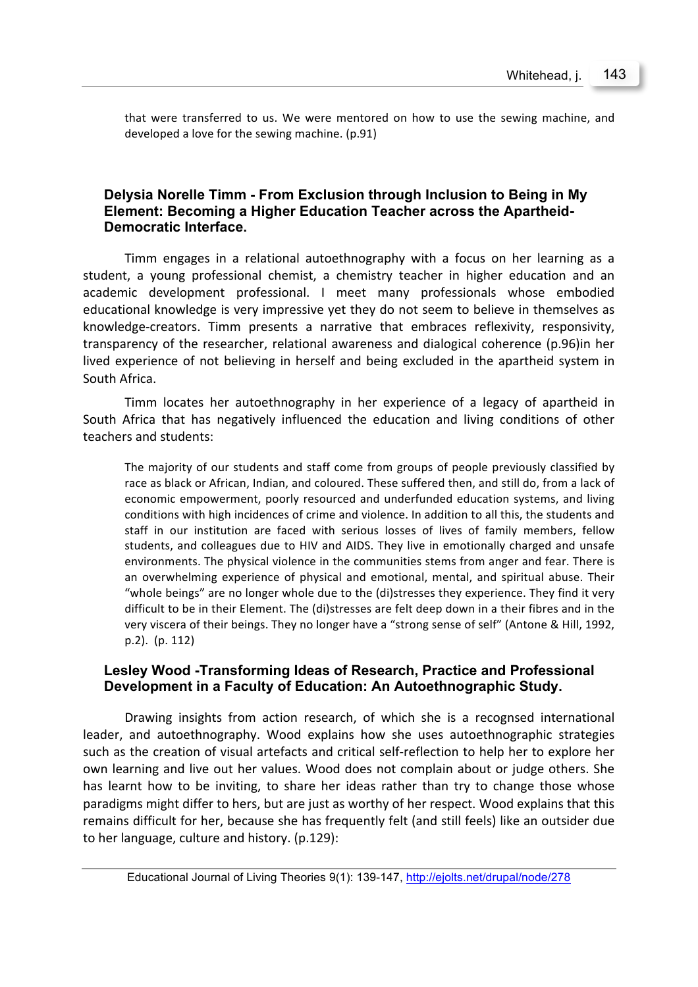that were transferred to us. We were mentored on how to use the sewing machine, and developed a love for the sewing machine. (p.91)

## **Delysia Norelle Timm - From Exclusion through Inclusion to Being in My Element: Becoming a Higher Education Teacher across the Apartheid-Democratic Interface.**

Timm engages in a relational autoethnography with a focus on her learning as a student, a young professional chemist, a chemistry teacher in higher education and an academic development professional. I meet many professionals whose embodied educational knowledge is very impressive yet they do not seem to believe in themselves as knowledge-creators. Timm presents a narrative that embraces reflexivity, responsivity, transparency of the researcher, relational awareness and dialogical coherence (p.96)in her lived experience of not believing in herself and being excluded in the apartheid system in South Africa.

Timm locates her autoethnography in her experience of a legacy of apartheid in South Africa that has negatively influenced the education and living conditions of other teachers and students:

The majority of our students and staff come from groups of people previously classified by race as black or African, Indian, and coloured. These suffered then, and still do, from a lack of economic empowerment, poorly resourced and underfunded education systems, and living conditions with high incidences of crime and violence. In addition to all this, the students and staff in our institution are faced with serious losses of lives of family members, fellow students, and colleagues due to HIV and AIDS. They live in emotionally charged and unsafe environments. The physical violence in the communities stems from anger and fear. There is an overwhelming experience of physical and emotional, mental, and spiritual abuse. Their "whole beings" are no longer whole due to the (di)stresses they experience. They find it very difficult to be in their Element. The (di)stresses are felt deep down in a their fibres and in the very viscera of their beings. They no longer have a "strong sense of self" (Antone & Hill, 1992, p.2). (p. 112)

#### **Lesley Wood -Transforming Ideas of Research, Practice and Professional Development in a Faculty of Education: An Autoethnographic Study.**

Drawing insights from action research, of which she is a recognsed international leader, and autoethnography. Wood explains how she uses autoethnographic strategies such as the creation of visual artefacts and critical self-reflection to help her to explore her own learning and live out her values. Wood does not complain about or judge others. She has learnt how to be inviting, to share her ideas rather than try to change those whose paradigms might differ to hers, but are just as worthy of her respect. Wood explains that this remains difficult for her, because she has frequently felt (and still feels) like an outsider due to her language, culture and history.  $(p.129)$ :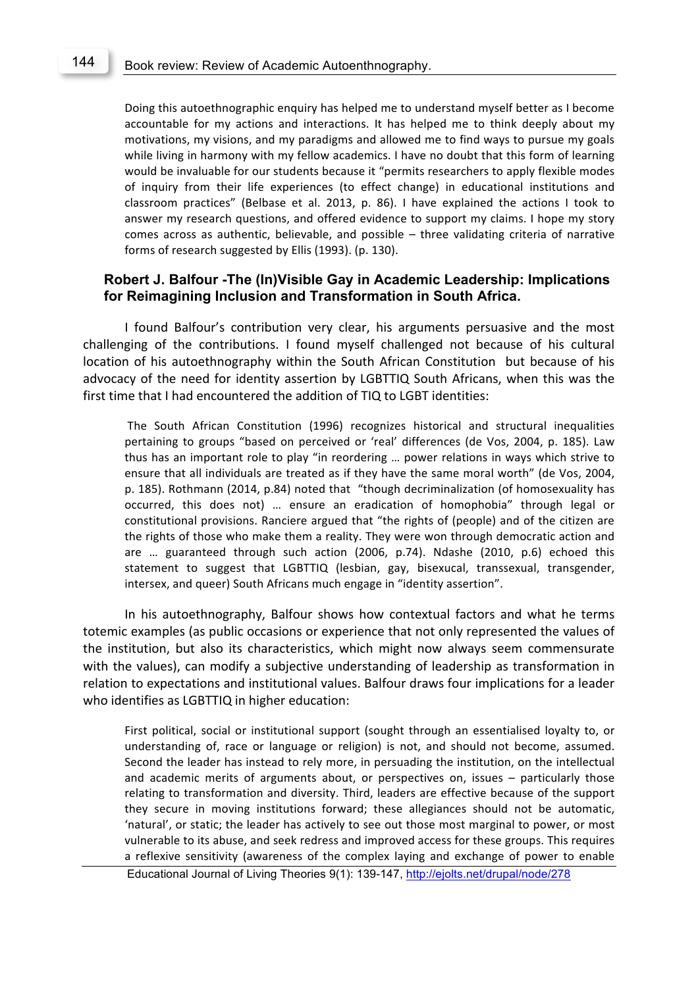Doing this autoethnographic enquiry has helped me to understand myself better as I become accountable for my actions and interactions. It has helped me to think deeply about my motivations, my visions, and my paradigms and allowed me to find ways to pursue my goals while living in harmony with my fellow academics. I have no doubt that this form of learning would be invaluable for our students because it "permits researchers to apply flexible modes of inquiry from their life experiences (to effect change) in educational institutions and classroom practices" (Belbase et al. 2013, p. 86). I have explained the actions I took to answer my research questions, and offered evidence to support my claims. I hope my story comes across as authentic, believable, and possible  $-$  three validating criteria of narrative forms of research suggested by Ellis (1993). (p. 130).

#### **Robert J. Balfour -The (In)Visible Gay in Academic Leadership: Implications for Reimagining Inclusion and Transformation in South Africa.**

I found Balfour's contribution very clear, his arguments persuasive and the most challenging of the contributions. I found myself challenged not because of his cultural location of his autoethnography within the South African Constitution but because of his advocacy of the need for identity assertion by LGBTTIQ South Africans, when this was the first time that I had encountered the addition of TIQ to LGBT identities:

The South African Constitution (1996) recognizes historical and structural inequalities pertaining to groups "based on perceived or 'real' differences (de Vos, 2004, p. 185). Law thus has an important role to play "in reordering ... power relations in ways which strive to ensure that all individuals are treated as if they have the same moral worth" (de Vos, 2004, p. 185). Rothmann (2014, p.84) noted that "though decriminalization (of homosexuality has occurred, this does not) ... ensure an eradication of homophobia" through legal or constitutional provisions. Ranciere argued that "the rights of (people) and of the citizen are the rights of those who make them a reality. They were won through democratic action and are  $\ldots$  guaranteed through such action (2006, p.74). Ndashe (2010, p.6) echoed this statement to suggest that LGBTTIQ (lesbian, gay, bisexucal, transsexual, transgender, intersex, and queer) South Africans much engage in "identity assertion".

In his autoethnography, Balfour shows how contextual factors and what he terms totemic examples (as public occasions or experience that not only represented the values of the institution, but also its characteristics, which might now always seem commensurate with the values), can modify a subjective understanding of leadership as transformation in relation to expectations and institutional values. Balfour draws four implications for a leader who identifies as LGBTTIQ in higher education:

First political, social or institutional support (sought through an essentialised loyalty to, or understanding of, race or language or religion) is not, and should not become, assumed. Second the leader has instead to rely more, in persuading the institution, on the intellectual and academic merits of arguments about, or perspectives on, issues – particularly those relating to transformation and diversity. Third, leaders are effective because of the support they secure in moving institutions forward; these allegiances should not be automatic, 'natural', or static; the leader has actively to see out those most marginal to power, or most vulnerable to its abuse, and seek redress and improved access for these groups. This requires a reflexive sensitivity (awareness of the complex laying and exchange of power to enable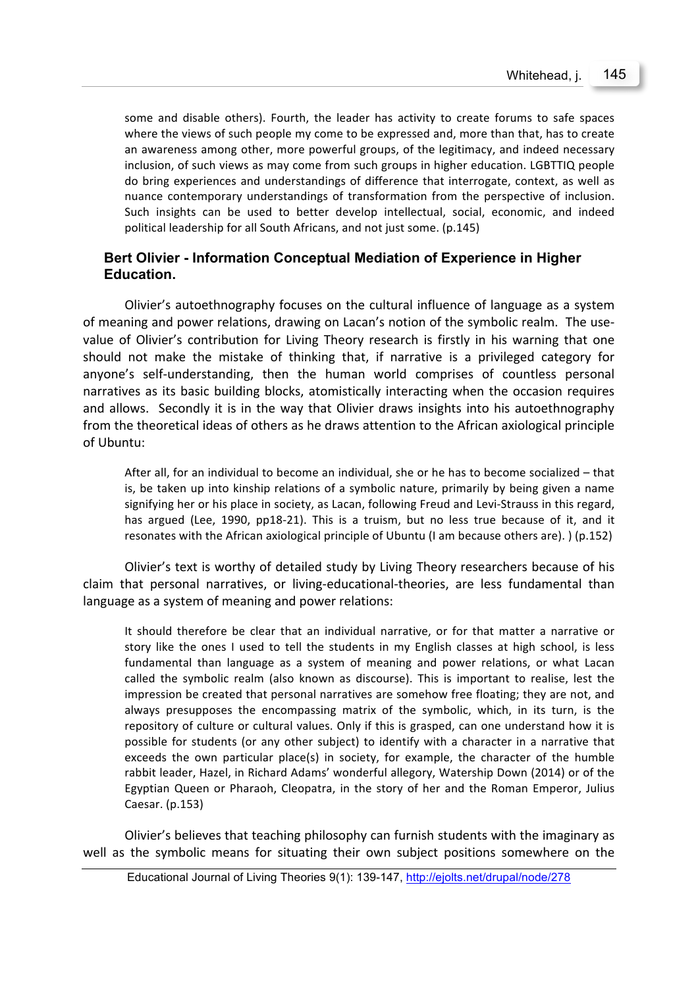some and disable others). Fourth, the leader has activity to create forums to safe spaces where the views of such people my come to be expressed and, more than that, has to create an awareness among other, more powerful groups, of the legitimacy, and indeed necessary inclusion, of such views as may come from such groups in higher education. LGBTTIQ people do bring experiences and understandings of difference that interrogate, context, as well as nuance contemporary understandings of transformation from the perspective of inclusion. Such insights can be used to better develop intellectual, social, economic, and indeed political leadership for all South Africans, and not just some. (p.145)

## **Bert Olivier - Information Conceptual Mediation of Experience in Higher Education.**

Olivier's autoethnography focuses on the cultural influence of language as a system of meaning and power relations, drawing on Lacan's notion of the symbolic realm. The usevalue of Olivier's contribution for Living Theory research is firstly in his warning that one should not make the mistake of thinking that, if narrative is a privileged category for anyone's self-understanding, then the human world comprises of countless personal narratives as its basic building blocks, atomistically interacting when the occasion requires and allows. Secondly it is in the way that Olivier draws insights into his autoethnography from the theoretical ideas of others as he draws attention to the African axiological principle of Ubuntu:

After all, for an individual to become an individual, she or he has to become socialized – that is, be taken up into kinship relations of a symbolic nature, primarily by being given a name signifying her or his place in society, as Lacan, following Freud and Levi-Strauss in this regard, has argued (Lee, 1990, pp18-21). This is a truism, but no less true because of it, and it resonates with the African axiological principle of Ubuntu (I am because others are).  $($  p.152)

Olivier's text is worthy of detailed study by Living Theory researchers because of his claim that personal narratives, or living-educational-theories, are less fundamental than language as a system of meaning and power relations:

It should therefore be clear that an individual narrative, or for that matter a narrative or story like the ones I used to tell the students in my English classes at high school, is less fundamental than language as a system of meaning and power relations, or what Lacan called the symbolic realm (also known as discourse). This is important to realise, lest the impression be created that personal narratives are somehow free floating; they are not, and always presupposes the encompassing matrix of the symbolic, which, in its turn, is the repository of culture or cultural values. Only if this is grasped, can one understand how it is possible for students (or any other subject) to identify with a character in a narrative that exceeds the own particular place(s) in society, for example, the character of the humble rabbit leader, Hazel, in Richard Adams' wonderful allegory, Watership Down (2014) or of the Egyptian Queen or Pharaoh, Cleopatra, in the story of her and the Roman Emperor, Julius Caesar. (p.153)

Olivier's believes that teaching philosophy can furnish students with the imaginary as well as the symbolic means for situating their own subject positions somewhere on the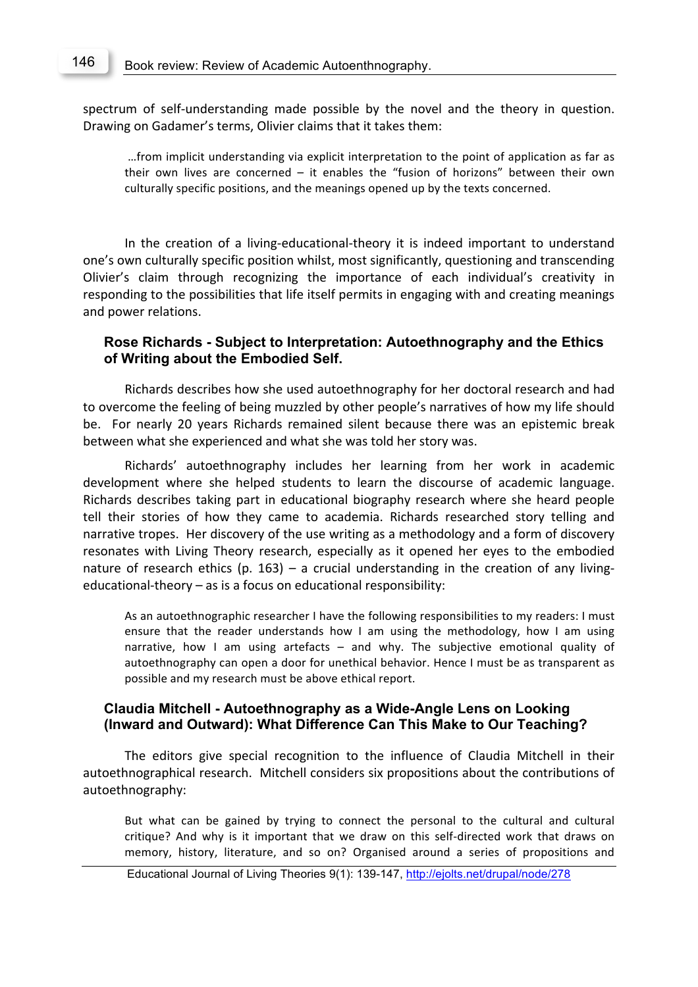spectrum of self-understanding made possible by the novel and the theory in question. Drawing on Gadamer's terms, Olivier claims that it takes them:

...from implicit understanding via explicit interpretation to the point of application as far as their own lives are concerned  $-$  it enables the "fusion of horizons" between their own culturally specific positions, and the meanings opened up by the texts concerned.

In the creation of a living-educational-theory it is indeed important to understand one's own culturally specific position whilst, most significantly, questioning and transcending Olivier's claim through recognizing the importance of each individual's creativity in responding to the possibilities that life itself permits in engaging with and creating meanings and power relations.

#### **Rose Richards - Subject to Interpretation: Autoethnography and the Ethics of Writing about the Embodied Self.**

Richards describes how she used autoethnography for her doctoral research and had to overcome the feeling of being muzzled by other people's narratives of how my life should be. For nearly 20 years Richards remained silent because there was an epistemic break between what she experienced and what she was told her story was.

Richards' autoethnography includes her learning from her work in academic development where she helped students to learn the discourse of academic language. Richards describes taking part in educational biography research where she heard people tell their stories of how they came to academia. Richards researched story telling and narrative tropes. Her discovery of the use writing as a methodology and a form of discovery resonates with Living Theory research, especially as it opened her eyes to the embodied nature of research ethics (p. 163) – a crucial understanding in the creation of any livingeducational-theory  $-$  as is a focus on educational responsibility:

As an autoethnographic researcher I have the following responsibilities to my readers: I must ensure that the reader understands how I am using the methodology, how I am using narrative, how I am using artefacts  $-$  and why. The subjective emotional quality of autoethnography can open a door for unethical behavior. Hence I must be as transparent as possible and my research must be above ethical report.

#### **Claudia Mitchell - Autoethnography as a Wide-Angle Lens on Looking (Inward and Outward): What Difference Can This Make to Our Teaching?**

The editors give special recognition to the influence of Claudia Mitchell in their autoethnographical research. Mitchell considers six propositions about the contributions of autoethnography:

But what can be gained by trying to connect the personal to the cultural and cultural critique? And why is it important that we draw on this self-directed work that draws on memory, history, literature, and so on? Organised around a series of propositions and